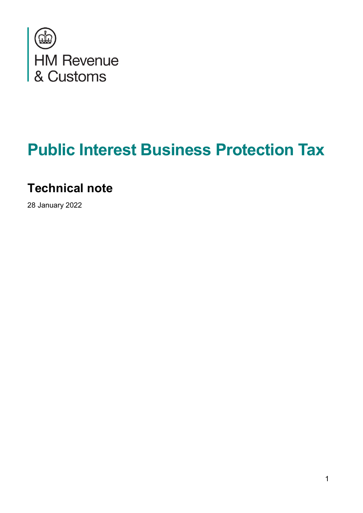

# **Public Interest Business Protection Tax**

### **Technical note**

28 January 2022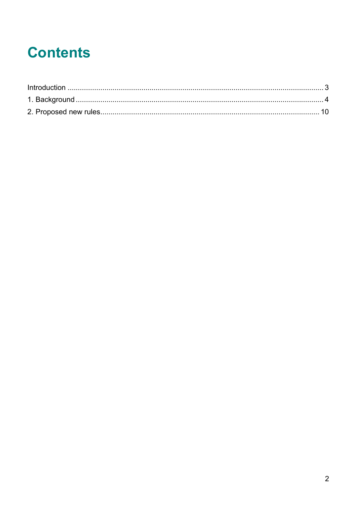## **Contents**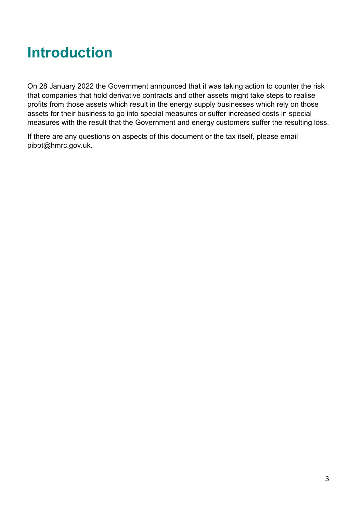### <span id="page-2-0"></span>**Introduction**

On 28 January 2022 the Government announced that it was taking action to counter the risk that companies that hold derivative contracts and other assets might take steps to realise profits from those assets which result in the energy supply businesses which rely on those assets for their business to go into special measures or suffer increased costs in special measures with the result that the Government and energy customers suffer the resulting loss.

If there are any questions on aspects of this document or the tax itself, please email pibpt@hmrc.gov.uk.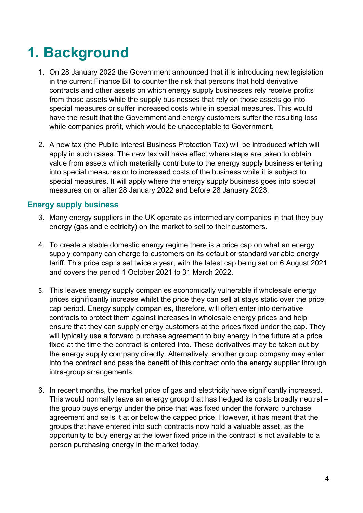## <span id="page-3-0"></span>**1. Background**

- 1. On 28 January 2022 the Government announced that it is introducing new legislation in the current Finance Bill to counter the risk that persons that hold derivative contracts and other assets on which energy supply businesses rely receive profits from those assets while the supply businesses that rely on those assets go into special measures or suffer increased costs while in special measures. This would have the result that the Government and energy customers suffer the resulting loss while companies profit, which would be unacceptable to Government.
- 2. A new tax (the Public Interest Business Protection Tax) will be introduced which will apply in such cases. The new tax will have effect where steps are taken to obtain value from assets which materially contribute to the energy supply business entering into special measures or to increased costs of the business while it is subject to special measures. It will apply where the energy supply business goes into special measures on or after 28 January 2022 and before 28 January 2023.

#### **Energy supply business**

- 3. Many energy suppliers in the UK operate as intermediary companies in that they buy energy (gas and electricity) on the market to sell to their customers.
- 4. To create a stable domestic energy regime there is a price cap on what an energy supply company can charge to customers on its default or standard variable energy tariff. This price cap is set twice a year, with the latest cap being set on 6 August 2021 and covers the period 1 October 2021 to 31 March 2022.
- 5. This leaves energy supply companies economically vulnerable if wholesale energy prices significantly increase whilst the price they can sell at stays static over the price cap period. Energy supply companies, therefore, will often enter into derivative contracts to protect them against increases in wholesale energy prices and help ensure that they can supply energy customers at the prices fixed under the cap. They will typically use a forward purchase agreement to buy energy in the future at a price fixed at the time the contract is entered into. These derivatives may be taken out by the energy supply company directly. Alternatively, another group company may enter into the contract and pass the benefit of this contract onto the energy supplier through intra-group arrangements.
- 6. In recent months, the market price of gas and electricity have significantly increased. This would normally leave an energy group that has hedged its costs broadly neutral – the group buys energy under the price that was fixed under the forward purchase agreement and sells it at or below the capped price. However, it has meant that the groups that have entered into such contracts now hold a valuable asset, as the opportunity to buy energy at the lower fixed price in the contract is not available to a person purchasing energy in the market today.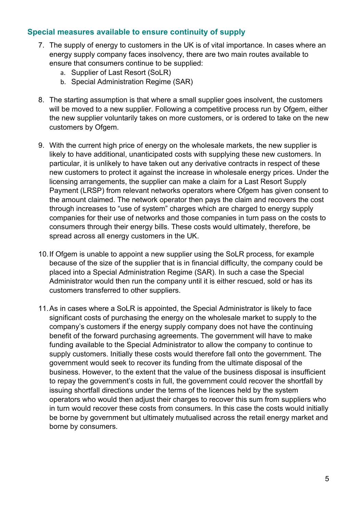#### **Special measures available to ensure continuity of supply**

- 7. The supply of energy to customers in the UK is of vital importance. In cases where an energy supply company faces insolvency, there are two main routes available to ensure that consumers continue to be supplied:
	- a. Supplier of Last Resort (SoLR)
	- b. Special Administration Regime (SAR)
- 8. The starting assumption is that where a small supplier goes insolvent, the customers will be moved to a new supplier. Following a competitive process run by Ofgem, either the new supplier voluntarily takes on more customers, or is ordered to take on the new customers by Ofgem.
- 9. With the current high price of energy on the wholesale markets, the new supplier is likely to have additional, unanticipated costs with supplying these new customers. In particular, it is unlikely to have taken out any derivative contracts in respect of these new customers to protect it against the increase in wholesale energy prices. Under the licensing arrangements, the supplier can make a claim for a Last Resort Supply Payment (LRSP) from relevant networks operators where Ofgem has given consent to the amount claimed. The network operator then pays the claim and recovers the cost through increases to "use of system" charges which are charged to energy supply companies for their use of networks and those companies in turn pass on the costs to consumers through their energy bills. These costs would ultimately, therefore, be spread across all energy customers in the UK.
- 10.If Ofgem is unable to appoint a new supplier using the SoLR process, for example because of the size of the supplier that is in financial difficulty, the company could be placed into a Special Administration Regime (SAR). In such a case the Special Administrator would then run the company until it is either rescued, sold or has its customers transferred to other suppliers.
- 11.As in cases where a SoLR is appointed, the Special Administrator is likely to face significant costs of purchasing the energy on the wholesale market to supply to the company's customers if the energy supply company does not have the continuing benefit of the forward purchasing agreements. The government will have to make funding available to the Special Administrator to allow the company to continue to supply customers. Initially these costs would therefore fall onto the government. The government would seek to recover its funding from the ultimate disposal of the business. However, to the extent that the value of the business disposal is insufficient to repay the government's costs in full, the government could recover the shortfall by issuing shortfall directions under the terms of the licences held by the system operators who would then adjust their charges to recover this sum from suppliers who in turn would recover these costs from consumers. In this case the costs would initially be borne by government but ultimately mutualised across the retail energy market and borne by consumers.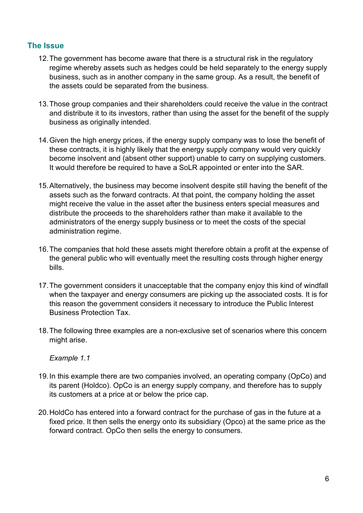#### **The Issue**

- 12.The government has become aware that there is a structural risk in the regulatory regime whereby assets such as hedges could be held separately to the energy supply business, such as in another company in the same group. As a result, the benefit of the assets could be separated from the business.
- 13.Those group companies and their shareholders could receive the value in the contract and distribute it to its investors, rather than using the asset for the benefit of the supply business as originally intended.
- 14.Given the high energy prices, if the energy supply company was to lose the benefit of these contracts, it is highly likely that the energy supply company would very quickly become insolvent and (absent other support) unable to carry on supplying customers. It would therefore be required to have a SoLR appointed or enter into the SAR.
- 15.Alternatively, the business may become insolvent despite still having the benefit of the assets such as the forward contracts. At that point, the company holding the asset might receive the value in the asset after the business enters special measures and distribute the proceeds to the shareholders rather than make it available to the administrators of the energy supply business or to meet the costs of the special administration regime.
- 16.The companies that hold these assets might therefore obtain a profit at the expense of the general public who will eventually meet the resulting costs through higher energy bills.
- 17.The government considers it unacceptable that the company enjoy this kind of windfall when the taxpayer and energy consumers are picking up the associated costs. It is for this reason the government considers it necessary to introduce the Public Interest Business Protection Tax.
- 18.The following three examples are a non-exclusive set of scenarios where this concern might arise.

*Example 1.1*

- 19.In this example there are two companies involved, an operating company (OpCo) and its parent (Holdco). OpCo is an energy supply company, and therefore has to supply its customers at a price at or below the price cap.
- 20.HoldCo has entered into a forward contract for the purchase of gas in the future at a fixed price. It then sells the energy onto its subsidiary (Opco) at the same price as the forward contract. OpCo then sells the energy to consumers.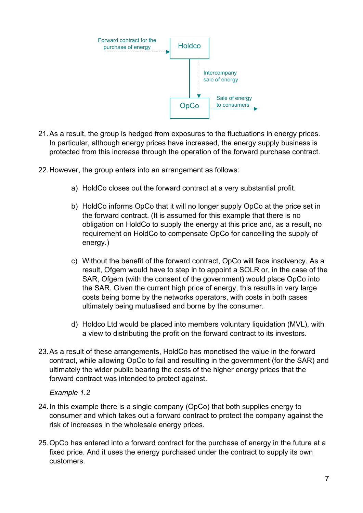

- 21.As a result, the group is hedged from exposures to the fluctuations in energy prices. In particular, although energy prices have increased, the energy supply business is protected from this increase through the operation of the forward purchase contract.
- 22.However, the group enters into an arrangement as follows:
	- a) HoldCo closes out the forward contract at a very substantial profit.
	- b) HoldCo informs OpCo that it will no longer supply OpCo at the price set in the forward contract. (It is assumed for this example that there is no obligation on HoldCo to supply the energy at this price and, as a result, no requirement on HoldCo to compensate OpCo for cancelling the supply of energy.)
	- c) Without the benefit of the forward contract, OpCo will face insolvency. As a result, Ofgem would have to step in to appoint a SOLR or, in the case of the SAR, Ofgem (with the consent of the government) would place OpCo into the SAR. Given the current high price of energy, this results in very large costs being borne by the networks operators, with costs in both cases ultimately being mutualised and borne by the consumer.
	- d) Holdco Ltd would be placed into members voluntary liquidation (MVL), with a view to distributing the profit on the forward contract to its investors.
- 23.As a result of these arrangements, HoldCo has monetised the value in the forward contract, while allowing OpCo to fail and resulting in the government (for the SAR) and ultimately the wider public bearing the costs of the higher energy prices that the forward contract was intended to protect against.

#### *Example 1.2*

- 24.In this example there is a single company (OpCo) that both supplies energy to consumer and which takes out a forward contract to protect the company against the risk of increases in the wholesale energy prices.
- 25.OpCo has entered into a forward contract for the purchase of energy in the future at a fixed price. And it uses the energy purchased under the contract to supply its own customers.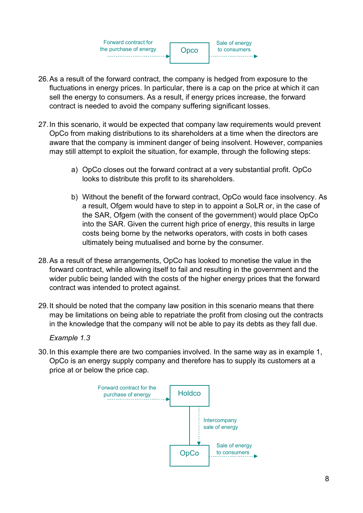**Opco** Forward contract for the purchase of energy Sale of energy to consumers

- 26.As a result of the forward contract, the company is hedged from exposure to the fluctuations in energy prices. In particular, there is a cap on the price at which it can sell the energy to consumers. As a result, if energy prices increase, the forward contract is needed to avoid the company suffering significant losses.
- 27.In this scenario, it would be expected that company law requirements would prevent OpCo from making distributions to its shareholders at a time when the directors are aware that the company is imminent danger of being insolvent. However, companies may still attempt to exploit the situation, for example, through the following steps:
	- a) OpCo closes out the forward contract at a very substantial profit. OpCo looks to distribute this profit to its shareholders.
	- b) Without the benefit of the forward contract, OpCo would face insolvency. As a result, Ofgem would have to step in to appoint a SoLR or, in the case of the SAR, Ofgem (with the consent of the government) would place OpCo into the SAR. Given the current high price of energy, this results in large costs being borne by the networks operators, with costs in both cases ultimately being mutualised and borne by the consumer.
- 28.As a result of these arrangements, OpCo has looked to monetise the value in the forward contract, while allowing itself to fail and resulting in the government and the wider public being landed with the costs of the higher energy prices that the forward contract was intended to protect against.
- 29.It should be noted that the company law position in this scenario means that there may be limitations on being able to repatriate the profit from closing out the contracts in the knowledge that the company will not be able to pay its debts as they fall due.

*Example 1.3*

30.In this example there are two companies involved. In the same way as in example 1, OpCo is an energy supply company and therefore has to supply its customers at a price at or below the price cap.

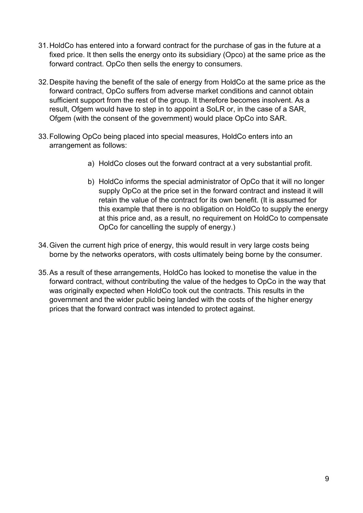- 31.HoldCo has entered into a forward contract for the purchase of gas in the future at a fixed price. It then sells the energy onto its subsidiary (Opco) at the same price as the forward contract. OpCo then sells the energy to consumers.
- 32.Despite having the benefit of the sale of energy from HoldCo at the same price as the forward contract, OpCo suffers from adverse market conditions and cannot obtain sufficient support from the rest of the group. It therefore becomes insolvent. As a result, Ofgem would have to step in to appoint a SoLR or, in the case of a SAR, Ofgem (with the consent of the government) would place OpCo into SAR.
- 33.Following OpCo being placed into special measures, HoldCo enters into an arrangement as follows:
	- a) HoldCo closes out the forward contract at a very substantial profit.
	- b) HoldCo informs the special administrator of OpCo that it will no longer supply OpCo at the price set in the forward contract and instead it will retain the value of the contract for its own benefit. (It is assumed for this example that there is no obligation on HoldCo to supply the energy at this price and, as a result, no requirement on HoldCo to compensate OpCo for cancelling the supply of energy.)
- 34.Given the current high price of energy, this would result in very large costs being borne by the networks operators, with costs ultimately being borne by the consumer.
- 35.As a result of these arrangements, HoldCo has looked to monetise the value in the forward contract, without contributing the value of the hedges to OpCo in the way that was originally expected when HoldCo took out the contracts. This results in the government and the wider public being landed with the costs of the higher energy prices that the forward contract was intended to protect against.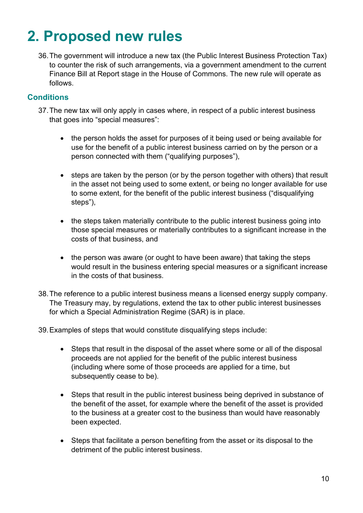### <span id="page-9-0"></span>**2. Proposed new rules**

36.The government will introduce a new tax (the Public Interest Business Protection Tax) to counter the risk of such arrangements, via a government amendment to the current Finance Bill at Report stage in the House of Commons. The new rule will operate as follows.

#### **Conditions**

- 37.The new tax will only apply in cases where, in respect of a public interest business that goes into "special measures":
	- the person holds the asset for purposes of it being used or being available for use for the benefit of a public interest business carried on by the person or a person connected with them ("qualifying purposes"),
	- steps are taken by the person (or by the person together with others) that result in the asset not being used to some extent, or being no longer available for use to some extent, for the benefit of the public interest business ("disqualifying steps"),
	- the steps taken materially contribute to the public interest business going into those special measures or materially contributes to a significant increase in the costs of that business, and
	- the person was aware (or ought to have been aware) that taking the steps would result in the business entering special measures or a significant increase in the costs of that business.
- 38.The reference to a public interest business means a licensed energy supply company. The Treasury may, by regulations, extend the tax to other public interest businesses for which a Special Administration Regime (SAR) is in place.

39.Examples of steps that would constitute disqualifying steps include:

- Steps that result in the disposal of the asset where some or all of the disposal proceeds are not applied for the benefit of the public interest business (including where some of those proceeds are applied for a time, but subsequently cease to be).
- Steps that result in the public interest business being deprived in substance of the benefit of the asset, for example where the benefit of the asset is provided to the business at a greater cost to the business than would have reasonably been expected.
- Steps that facilitate a person benefiting from the asset or its disposal to the detriment of the public interest business.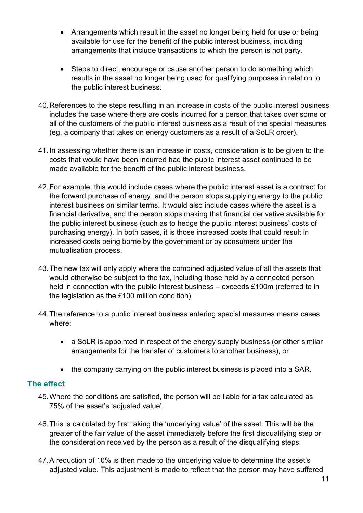- Arrangements which result in the asset no longer being held for use or being available for use for the benefit of the public interest business, including arrangements that include transactions to which the person is not party.
- Steps to direct, encourage or cause another person to do something which results in the asset no longer being used for qualifying purposes in relation to the public interest business.
- 40.References to the steps resulting in an increase in costs of the public interest business includes the case where there are costs incurred for a person that takes over some or all of the customers of the public interest business as a result of the special measures (eg. a company that takes on energy customers as a result of a SoLR order).
- 41.In assessing whether there is an increase in costs, consideration is to be given to the costs that would have been incurred had the public interest asset continued to be made available for the benefit of the public interest business.
- 42.For example, this would include cases where the public interest asset is a contract for the forward purchase of energy, and the person stops supplying energy to the public interest business on similar terms. It would also include cases where the asset is a financial derivative, and the person stops making that financial derivative available for the public interest business (such as to hedge the public interest business' costs of purchasing energy). In both cases, it is those increased costs that could result in increased costs being borne by the government or by consumers under the mutualisation process.
- 43.The new tax will only apply where the combined adjusted value of all the assets that would otherwise be subject to the tax, including those held by a connected person held in connection with the public interest business – exceeds £100m (referred to in the legislation as the £100 million condition).
- 44.The reference to a public interest business entering special measures means cases where:
	- a SoLR is appointed in respect of the energy supply business (or other similar arrangements for the transfer of customers to another business), or
	- the company carrying on the public interest business is placed into a SAR.

#### **The effect**

- 45.Where the conditions are satisfied, the person will be liable for a tax calculated as 75% of the asset's 'adjusted value'.
- 46.This is calculated by first taking the 'underlying value' of the asset. This will be the greater of the fair value of the asset immediately before the first disqualifying step or the consideration received by the person as a result of the disqualifying steps.
- 47.A reduction of 10% is then made to the underlying value to determine the asset's adjusted value. This adjustment is made to reflect that the person may have suffered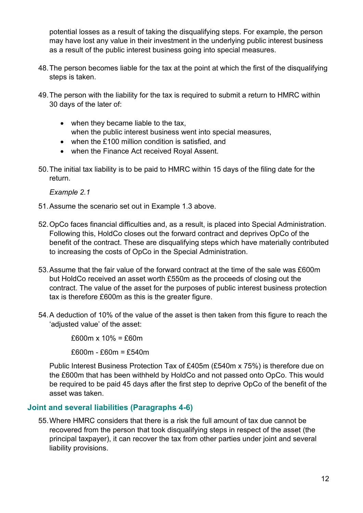potential losses as a result of taking the disqualifying steps. For example, the person may have lost any value in their investment in the underlying public interest business as a result of the public interest business going into special measures.

- 48.The person becomes liable for the tax at the point at which the first of the disqualifying steps is taken.
- 49.The person with the liability for the tax is required to submit a return to HMRC within 30 days of the later of:
	- when they became liable to the tax, when the public interest business went into special measures,
	- when the £100 million condition is satisfied, and
	- when the Finance Act received Royal Assent.
- 50.The initial tax liability is to be paid to HMRC within 15 days of the filing date for the return.

*Example 2.1*

- 51.Assume the scenario set out in Example 1.3 above.
- 52.OpCo faces financial difficulties and, as a result, is placed into Special Administration. Following this, HoldCo closes out the forward contract and deprives OpCo of the benefit of the contract. These are disqualifying steps which have materially contributed to increasing the costs of OpCo in the Special Administration.
- 53.Assume that the fair value of the forward contract at the time of the sale was £600m but HoldCo received an asset worth £550m as the proceeds of closing out the contract. The value of the asset for the purposes of public interest business protection tax is therefore £600m as this is the greater figure.
- 54.A deduction of 10% of the value of the asset is then taken from this figure to reach the 'adjusted value' of the asset:

 $£600m \times 10\% = £60m$ 

£600m - £60m = £540m

Public Interest Business Protection Tax of £405m (£540m x 75%) is therefore due on the £600m that has been withheld by HoldCo and not passed onto OpCo. This would be required to be paid 45 days after the first step to deprive OpCo of the benefit of the asset was taken.

#### **Joint and several liabilities (Paragraphs 4-6)**

55.Where HMRC considers that there is a risk the full amount of tax due cannot be recovered from the person that took disqualifying steps in respect of the asset (the principal taxpayer), it can recover the tax from other parties under joint and several liability provisions.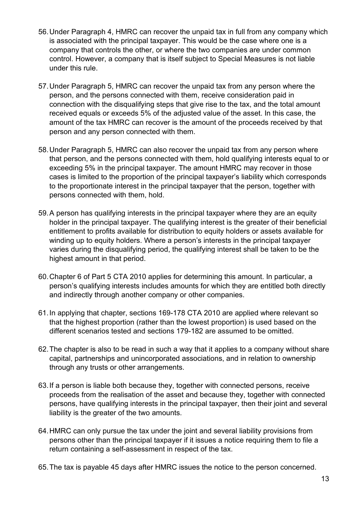- 56.Under Paragraph 4, HMRC can recover the unpaid tax in full from any company which is associated with the principal taxpayer. This would be the case where one is a company that controls the other, or where the two companies are under common control. However, a company that is itself subject to Special Measures is not liable under this rule.
- 57.Under Paragraph 5, HMRC can recover the unpaid tax from any person where the person, and the persons connected with them, receive consideration paid in connection with the disqualifying steps that give rise to the tax, and the total amount received equals or exceeds 5% of the adjusted value of the asset. In this case, the amount of the tax HMRC can recover is the amount of the proceeds received by that person and any person connected with them.
- 58.Under Paragraph 5, HMRC can also recover the unpaid tax from any person where that person, and the persons connected with them, hold qualifying interests equal to or exceeding 5% in the principal taxpayer. The amount HMRC may recover in those cases is limited to the proportion of the principal taxpayer's liability which corresponds to the proportionate interest in the principal taxpayer that the person, together with persons connected with them, hold.
- 59.A person has qualifying interests in the principal taxpayer where they are an equity holder in the principal taxpayer. The qualifying interest is the greater of their beneficial entitlement to profits available for distribution to equity holders or assets available for winding up to equity holders. Where a person's interests in the principal taxpayer varies during the disqualifying period, the qualifying interest shall be taken to be the highest amount in that period.
- 60.Chapter 6 of Part 5 CTA 2010 applies for determining this amount. In particular, a person's qualifying interests includes amounts for which they are entitled both directly and indirectly through another company or other companies.
- 61.In applying that chapter, sections 169-178 CTA 2010 are applied where relevant so that the highest proportion (rather than the lowest proportion) is used based on the different scenarios tested and sections 179-182 are assumed to be omitted.
- 62.The chapter is also to be read in such a way that it applies to a company without share capital, partnerships and unincorporated associations, and in relation to ownership through any trusts or other arrangements.
- 63.If a person is liable both because they, together with connected persons, receive proceeds from the realisation of the asset and because they, together with connected persons, have qualifying interests in the principal taxpayer, then their joint and several liability is the greater of the two amounts.
- 64.HMRC can only pursue the tax under the joint and several liability provisions from persons other than the principal taxpayer if it issues a notice requiring them to file a return containing a self-assessment in respect of the tax.
- 65.The tax is payable 45 days after HMRC issues the notice to the person concerned.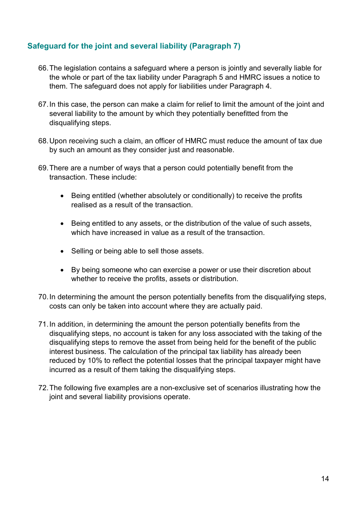#### **Safeguard for the joint and several liability (Paragraph 7)**

- 66.The legislation contains a safeguard where a person is jointly and severally liable for the whole or part of the tax liability under Paragraph 5 and HMRC issues a notice to them. The safeguard does not apply for liabilities under Paragraph 4.
- 67.In this case, the person can make a claim for relief to limit the amount of the joint and several liability to the amount by which they potentially benefitted from the disqualifying steps.
- 68.Upon receiving such a claim, an officer of HMRC must reduce the amount of tax due by such an amount as they consider just and reasonable.
- 69.There are a number of ways that a person could potentially benefit from the transaction. These include:
	- Being entitled (whether absolutely or conditionally) to receive the profits realised as a result of the transaction.
	- Being entitled to any assets, or the distribution of the value of such assets, which have increased in value as a result of the transaction.
	- Selling or being able to sell those assets.
	- By being someone who can exercise a power or use their discretion about whether to receive the profits, assets or distribution.
- 70.In determining the amount the person potentially benefits from the disqualifying steps, costs can only be taken into account where they are actually paid.
- 71.In addition, in determining the amount the person potentially benefits from the disqualifying steps, no account is taken for any loss associated with the taking of the disqualifying steps to remove the asset from being held for the benefit of the public interest business. The calculation of the principal tax liability has already been reduced by 10% to reflect the potential losses that the principal taxpayer might have incurred as a result of them taking the disqualifying steps.
- 72.The following five examples are a non-exclusive set of scenarios illustrating how the joint and several liability provisions operate.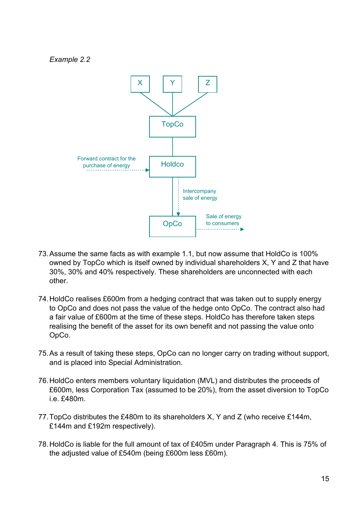*Example 2.2*



- 73.Assume the same facts as with example 1.1, but now assume that HoldCo is 100% owned by TopCo which is itself owned by individual shareholders X, Y and Z that have 30%, 30% and 40% respectively. These shareholders are unconnected with each other.
- 74.HoldCo realises £600m from a hedging contract that was taken out to supply energy to OpCo and does not pass the value of the hedge onto OpCo. The contract also had a fair value of £600m at the time of these steps. HoldCo has therefore taken steps realising the benefit of the asset for its own benefit and not passing the value onto OpCo.
- 75.As a result of taking these steps, OpCo can no longer carry on trading without support, and is placed into Special Administration.
- 76.HoldCo enters members voluntary liquidation (MVL) and distributes the proceeds of £600m, less Corporation Tax (assumed to be 20%), from the asset diversion to TopCo i.e. £480m.
- 77.TopCo distributes the £480m to its shareholders X, Y and Z (who receive £144m, £144m and £192m respectively).
- 78.HoldCo is liable for the full amount of tax of £405m under Paragraph 4. This is 75% of the adjusted value of £540m (being £600m less £60m).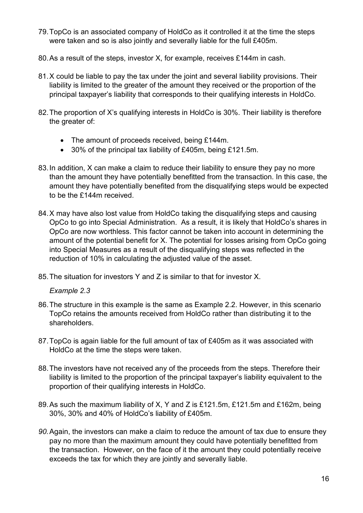- 79.TopCo is an associated company of HoldCo as it controlled it at the time the steps were taken and so is also jointly and severally liable for the full £405m.
- 80.As a result of the steps, investor X, for example, receives £144m in cash.
- 81.X could be liable to pay the tax under the joint and several liability provisions. Their liability is limited to the greater of the amount they received or the proportion of the principal taxpayer's liability that corresponds to their qualifying interests in HoldCo.
- 82.The proportion of X's qualifying interests in HoldCo is 30%. Their liability is therefore the greater of:
	- The amount of proceeds received, being £144m.
	- 30% of the principal tax liability of £405m, being £121.5m.
- 83.In addition, X can make a claim to reduce their liability to ensure they pay no more than the amount they have potentially benefitted from the transaction. In this case, the amount they have potentially benefited from the disqualifying steps would be expected to be the £144m received.
- 84.X may have also lost value from HoldCo taking the disqualifying steps and causing OpCo to go into Special Administration. As a result, it is likely that HoldCo's shares in OpCo are now worthless. This factor cannot be taken into account in determining the amount of the potential benefit for X. The potential for losses arising from OpCo going into Special Measures as a result of the disqualifying steps was reflected in the reduction of 10% in calculating the adjusted value of the asset.
- 85.The situation for investors Y and Z is similar to that for investor X.

*Example 2.3*

- 86.The structure in this example is the same as Example 2.2. However, in this scenario TopCo retains the amounts received from HoldCo rather than distributing it to the shareholders.
- 87.TopCo is again liable for the full amount of tax of £405m as it was associated with HoldCo at the time the steps were taken.
- 88.The investors have not received any of the proceeds from the steps. Therefore their liability is limited to the proportion of the principal taxpayer's liability equivalent to the proportion of their qualifying interests in HoldCo.
- 89.As such the maximum liability of X, Y and Z is £121.5m, £121.5m and £162m, being 30%, 30% and 40% of HoldCo's liability of £405m.
- *90.*Again, the investors can make a claim to reduce the amount of tax due to ensure they pay no more than the maximum amount they could have potentially benefitted from the transaction. However, on the face of it the amount they could potentially receive exceeds the tax for which they are jointly and severally liable.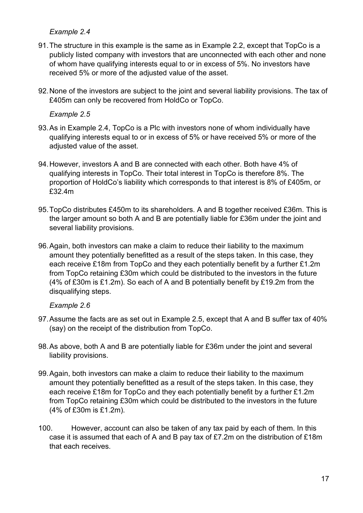#### *Example 2.4*

- 91.The structure in this example is the same as in Example 2.2, except that TopCo is a publicly listed company with investors that are unconnected with each other and none of whom have qualifying interests equal to or in excess of 5%. No investors have received 5% or more of the adjusted value of the asset.
- 92.None of the investors are subject to the joint and several liability provisions. The tax of £405m can only be recovered from HoldCo or TopCo.

*Example 2.5*

- 93.As in Example 2.4, TopCo is a Plc with investors none of whom individually have qualifying interests equal to or in excess of 5% or have received 5% or more of the adjusted value of the asset.
- 94.However, investors A and B are connected with each other. Both have 4% of qualifying interests in TopCo. Their total interest in TopCo is therefore 8%. The proportion of HoldCo's liability which corresponds to that interest is 8% of £405m, or £32.4m
- 95.TopCo distributes £450m to its shareholders. A and B together received £36m. This is the larger amount so both A and B are potentially liable for £36m under the joint and several liability provisions.
- 96.Again, both investors can make a claim to reduce their liability to the maximum amount they potentially benefitted as a result of the steps taken. In this case, they each receive £18m from TopCo and they each potentially benefit by a further £1.2m from TopCo retaining £30m which could be distributed to the investors in the future (4% of £30m is £1.2m). So each of A and B potentially benefit by £19.2m from the disqualifying steps.

*Example 2.6*

- 97.Assume the facts are as set out in Example 2.5, except that A and B suffer tax of 40% (say) on the receipt of the distribution from TopCo.
- 98.As above, both A and B are potentially liable for £36m under the joint and several liability provisions.
- 99.Again, both investors can make a claim to reduce their liability to the maximum amount they potentially benefitted as a result of the steps taken. In this case, they each receive £18m for TopCo and they each potentially benefit by a further £1.2m from TopCo retaining £30m which could be distributed to the investors in the future (4% of £30m is £1.2m).
- 100. However, account can also be taken of any tax paid by each of them. In this case it is assumed that each of A and B pay tax of £7.2m on the distribution of £18m that each receives.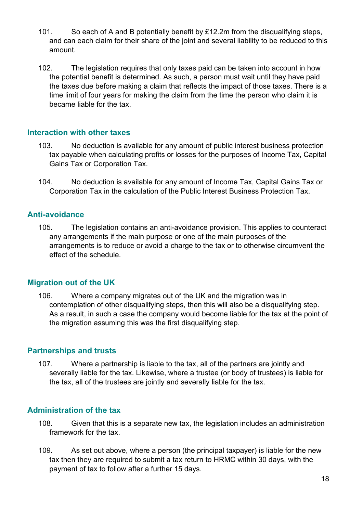- 101. So each of A and B potentially benefit by £12.2m from the disqualifying steps, and can each claim for their share of the joint and several liability to be reduced to this amount.
- 102. The legislation requires that only taxes paid can be taken into account in how the potential benefit is determined. As such, a person must wait until they have paid the taxes due before making a claim that reflects the impact of those taxes. There is a time limit of four years for making the claim from the time the person who claim it is became liable for the tax.

#### **Interaction with other taxes**

- 103. No deduction is available for any amount of public interest business protection tax payable when calculating profits or losses for the purposes of Income Tax, Capital Gains Tax or Corporation Tax.
- 104. No deduction is available for any amount of Income Tax, Capital Gains Tax or Corporation Tax in the calculation of the Public Interest Business Protection Tax.

#### **Anti-avoidance**

105. The legislation contains an anti-avoidance provision. This applies to counteract any arrangements if the main purpose or one of the main purposes of the arrangements is to reduce or avoid a charge to the tax or to otherwise circumvent the effect of the schedule.

#### **Migration out of the UK**

106. Where a company migrates out of the UK and the migration was in contemplation of other disqualifying steps, then this will also be a disqualifying step. As a result, in such a case the company would become liable for the tax at the point of the migration assuming this was the first disqualifying step.

#### **Partnerships and trusts**

107. Where a partnership is liable to the tax, all of the partners are jointly and severally liable for the tax. Likewise, where a trustee (or body of trustees) is liable for the tax, all of the trustees are jointly and severally liable for the tax.

#### **Administration of the tax**

- 108. Given that this is a separate new tax, the legislation includes an administration framework for the tax.
- 109. As set out above, where a person (the principal taxpayer) is liable for the new tax then they are required to submit a tax return to HRMC within 30 days, with the payment of tax to follow after a further 15 days.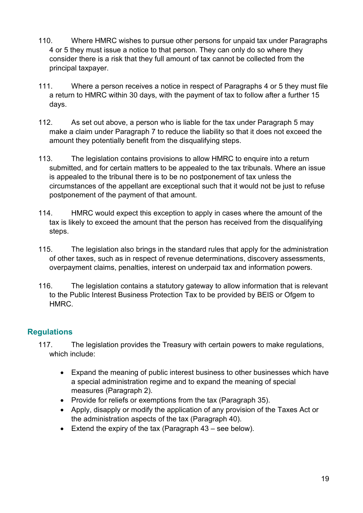- 110. Where HMRC wishes to pursue other persons for unpaid tax under Paragraphs 4 or 5 they must issue a notice to that person. They can only do so where they consider there is a risk that they full amount of tax cannot be collected from the principal taxpayer.
- 111. Where a person receives a notice in respect of Paragraphs 4 or 5 they must file a return to HMRC within 30 days, with the payment of tax to follow after a further 15 days.
- 112. As set out above, a person who is liable for the tax under Paragraph 5 may make a claim under Paragraph 7 to reduce the liability so that it does not exceed the amount they potentially benefit from the disqualifying steps.
- 113. The legislation contains provisions to allow HMRC to enquire into a return submitted, and for certain matters to be appealed to the tax tribunals. Where an issue is appealed to the tribunal there is to be no postponement of tax unless the circumstances of the appellant are exceptional such that it would not be just to refuse postponement of the payment of that amount.
- 114. HMRC would expect this exception to apply in cases where the amount of the tax is likely to exceed the amount that the person has received from the disqualifying steps.
- 115. The legislation also brings in the standard rules that apply for the administration of other taxes, such as in respect of revenue determinations, discovery assessments, overpayment claims, penalties, interest on underpaid tax and information powers.
- 116. The legislation contains a statutory gateway to allow information that is relevant to the Public Interest Business Protection Tax to be provided by BEIS or Ofgem to HMRC.

#### **Regulations**

- 117. The legislation provides the Treasury with certain powers to make regulations, which include:
	- Expand the meaning of public interest business to other businesses which have a special administration regime and to expand the meaning of special measures (Paragraph 2).
	- Provide for reliefs or exemptions from the tax (Paragraph 35).
	- Apply, disapply or modify the application of any provision of the Taxes Act or the administration aspects of the tax (Paragraph 40).
	- Extend the expiry of the tax (Paragraph 43 see below).